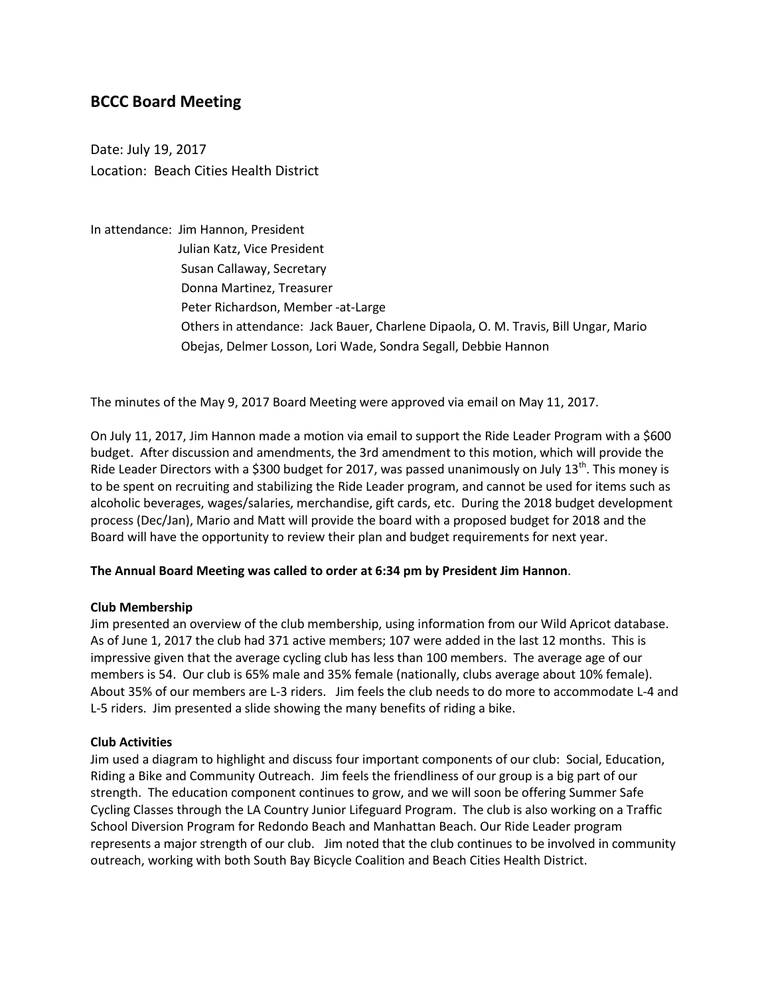# **BCCC Board Meeting**

Date: July 19, 2017 Location: Beach Cities Health District

In attendance: Jim Hannon, President Julian Katz, Vice President Susan Callaway, Secretary Donna Martinez, Treasurer Peter Richardson, Member -at-Large Others in attendance: Jack Bauer, Charlene Dipaola, O. M. Travis, Bill Ungar, Mario Obejas, Delmer Losson, Lori Wade, Sondra Segall, Debbie Hannon

The minutes of the May 9, 2017 Board Meeting were approved via email on May 11, 2017.

On July 11, 2017, Jim Hannon made a motion via email to support the Ride Leader Program with a \$600 budget. After discussion and amendments, the 3rd amendment to this motion, which will provide the Ride Leader Directors with a \$300 budget for 2017, was passed unanimously on July 13<sup>th</sup>. This money is to be spent on recruiting and stabilizing the Ride Leader program, and cannot be used for items such as alcoholic beverages, wages/salaries, merchandise, gift cards, etc. During the 2018 budget development process (Dec/Jan), Mario and Matt will provide the board with a proposed budget for 2018 and the Board will have the opportunity to review their plan and budget requirements for next year.

# **The Annual Board Meeting was called to order at 6:34 pm by President Jim Hannon**.

# **Club Membership**

Jim presented an overview of the club membership, using information from our Wild Apricot database. As of June 1, 2017 the club had 371 active members; 107 were added in the last 12 months. This is impressive given that the average cycling club has less than 100 members. The average age of our members is 54. Our club is 65% male and 35% female (nationally, clubs average about 10% female). About 35% of our members are L-3 riders. Jim feels the club needs to do more to accommodate L-4 and L-5 riders. Jim presented a slide showing the many benefits of riding a bike.

# **Club Activities**

Jim used a diagram to highlight and discuss four important components of our club: Social, Education, Riding a Bike and Community Outreach. Jim feels the friendliness of our group is a big part of our strength. The education component continues to grow, and we will soon be offering Summer Safe Cycling Classes through the LA Country Junior Lifeguard Program. The club is also working on a Traffic School Diversion Program for Redondo Beach and Manhattan Beach. Our Ride Leader program represents a major strength of our club. Jim noted that the club continues to be involved in community outreach, working with both South Bay Bicycle Coalition and Beach Cities Health District.